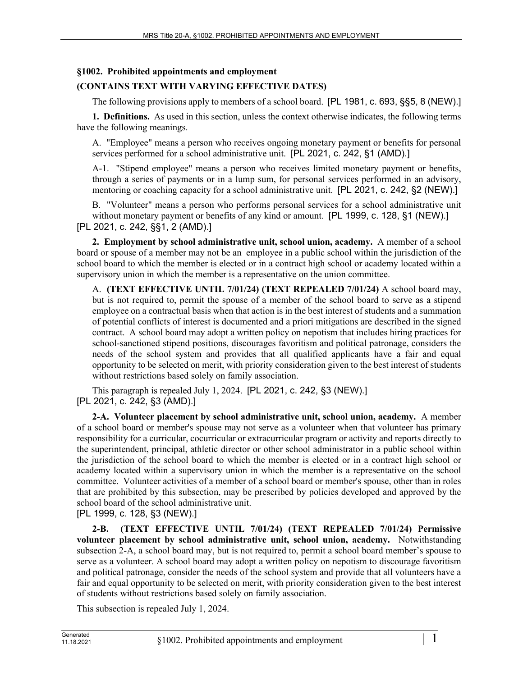# **§1002. Prohibited appointments and employment**

# **(CONTAINS TEXT WITH VARYING EFFECTIVE DATES)**

The following provisions apply to members of a school board. [PL 1981, c. 693, §§5, 8 (NEW).]

**1. Definitions.** As used in this section, unless the context otherwise indicates, the following terms have the following meanings.

A. "Employee" means a person who receives ongoing monetary payment or benefits for personal services performed for a school administrative unit. [PL 2021, c. 242, §1 (AMD).]

A-1. "Stipend employee" means a person who receives limited monetary payment or benefits, through a series of payments or in a lump sum, for personal services performed in an advisory, mentoring or coaching capacity for a school administrative unit. [PL 2021, c. 242, §2 (NEW).]

B. "Volunteer" means a person who performs personal services for a school administrative unit without monetary payment or benefits of any kind or amount. [PL 1999, c. 128, §1 (NEW).] [PL 2021, c. 242, §§1, 2 (AMD).]

**2. Employment by school administrative unit, school union, academy.** A member of a school board or spouse of a member may not be an employee in a public school within the jurisdiction of the school board to which the member is elected or in a contract high school or academy located within a supervisory union in which the member is a representative on the union committee.

A. **(TEXT EFFECTIVE UNTIL 7/01/24) (TEXT REPEALED 7/01/24)** A school board may, but is not required to, permit the spouse of a member of the school board to serve as a stipend employee on a contractual basis when that action is in the best interest of students and a summation of potential conflicts of interest is documented and a priori mitigations are described in the signed contract. A school board may adopt a written policy on nepotism that includes hiring practices for school-sanctioned stipend positions, discourages favoritism and political patronage, considers the needs of the school system and provides that all qualified applicants have a fair and equal opportunity to be selected on merit, with priority consideration given to the best interest of students without restrictions based solely on family association.

This paragraph is repealed July 1, 2024. [PL 2021, c. 242, §3 (NEW).] [PL 2021, c. 242, §3 (AMD).]

**2-A. Volunteer placement by school administrative unit, school union, academy.** A member of a school board or member's spouse may not serve as a volunteer when that volunteer has primary responsibility for a curricular, cocurricular or extracurricular program or activity and reports directly to the superintendent, principal, athletic director or other school administrator in a public school within the jurisdiction of the school board to which the member is elected or in a contract high school or academy located within a supervisory union in which the member is a representative on the school committee. Volunteer activities of a member of a school board or member's spouse, other than in roles that are prohibited by this subsection, may be prescribed by policies developed and approved by the school board of the school administrative unit.

[PL 1999, c. 128, §3 (NEW).]

**2-B. (TEXT EFFECTIVE UNTIL 7/01/24) (TEXT REPEALED 7/01/24) Permissive volunteer placement by school administrative unit, school union, academy.** Notwithstanding subsection 2-A, a school board may, but is not required to, permit a school board member's spouse to serve as a volunteer. A school board may adopt a written policy on nepotism to discourage favoritism and political patronage, consider the needs of the school system and provide that all volunteers have a fair and equal opportunity to be selected on merit, with priority consideration given to the best interest of students without restrictions based solely on family association.

This subsection is repealed July 1, 2024.